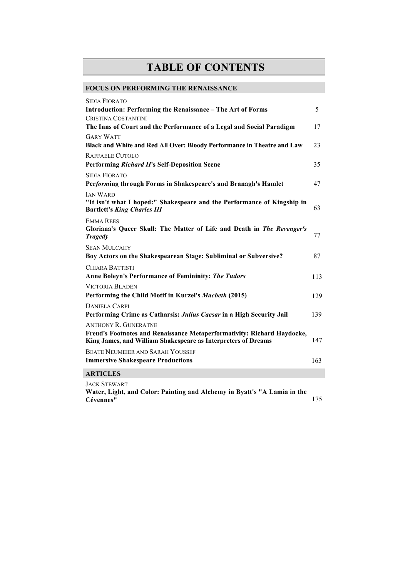## **TABLE OF CONTENTS**

## **FOCUS ON PERFORMING THE RENAISSANCE**

| <b>SIDIA FIORATO</b>                                                                                                                     |     |
|------------------------------------------------------------------------------------------------------------------------------------------|-----|
| <b>Introduction: Performing the Renaissance - The Art of Forms</b>                                                                       | 5   |
| CRISTINA COSTANTINI                                                                                                                      |     |
| The Inns of Court and the Performance of a Legal and Social Paradigm                                                                     | 17  |
| <b>GARY WATT</b>                                                                                                                         |     |
| Black and White and Red All Over: Bloody Performance in Theatre and Law                                                                  | 23  |
| RAFFAELE CUTOLO                                                                                                                          |     |
| <b>Performing Richard II's Self-Deposition Scene</b>                                                                                     | 35  |
| <b>SIDIA FIORATO</b>                                                                                                                     |     |
| Performing through Forms in Shakespeare's and Branagh's Hamlet                                                                           | 47  |
| <b>JAN WARD</b>                                                                                                                          |     |
| "It isn't what I hoped:" Shakespeare and the Performance of Kingship in<br><b>Bartlett's King Charles III</b>                            | 63  |
| <b>EMMA REES</b><br>Gloriana's Queer Skull: The Matter of Life and Death in The Revenger's<br><b>Tragedy</b>                             | 77  |
| <b>SEAN MULCAHY</b><br>Boy Actors on the Shakespearean Stage: Subliminal or Subversive?                                                  | 87  |
| <b>CHIARA BATTISTI</b><br><b>Anne Boleyn's Performance of Femininity: The Tudors</b>                                                     | 113 |
| <b>VICTORIA BLADEN</b>                                                                                                                   |     |
| Performing the Child Motif in Kurzel's Macbeth (2015)                                                                                    | 129 |
| <b>DANIELA CARPI</b>                                                                                                                     |     |
| Performing Crime as Catharsis: Julius Caesar in a High Security Jail                                                                     | 139 |
| <b>ANTHONY R. GUNERATNE</b>                                                                                                              |     |
| Freud's Footnotes and Renaissance Metaperformativity: Richard Haydocke,<br>King James, and William Shakespeare as Interpreters of Dreams | 147 |
| <b>BEATE NEUMEIER AND SARAH YOUSSEF</b>                                                                                                  |     |
| <b>Immersive Shakespeare Productions</b>                                                                                                 | 163 |
| <b>ARTICLES</b>                                                                                                                          |     |
| <b>JACK STEWART</b>                                                                                                                      |     |

**Water, Light, and Color: Painting and Alchemy in Byatt's "A Lamia in the Cévennes"** 175